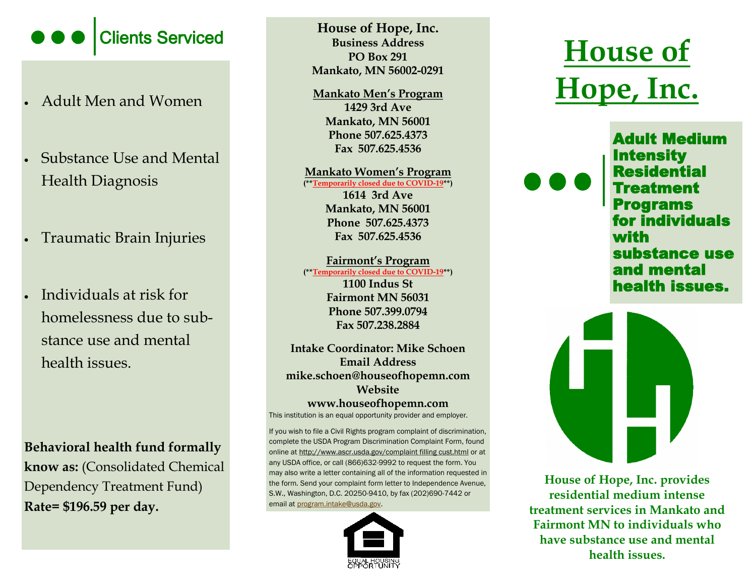

- Adult Men and Women
- Substance Use and Mental Health Diagnosis
- Traumatic Brain Injuries
- Individuals at risk for homelessness due to substance use and mental health issues.

**Behavioral health fund formally know as:** (Consolidated Chemical Dependency Treatment Fund) **Rate= \$196.59 per day.** 

Clients Serviced<br> **EXECUTE:** Business Address<br>
PO Box 291<br> **House of Trope**, Inc. **House of Hope, Inc. Business Address PO Box 291 Mankato, MN 56002-0291**

> **Mankato Men's Program 1429 3rd Ave Mankato, MN 56001 Phone 507.625.4373 Fax 507.625.4536**

**Mankato Women's Program (\*\*Temporarily closed due to COVID-19\*\*) 1614 3rd Ave Mankato, MN 56001 Phone 507.625.4373 Fax 507.625.4536**

**Fairmont's Program (\*\*Temporarily closed due to COVID-19\*\*)**

**1100 Indus St Fairmont MN 56031 Phone 507.399.0794 Fax 507.238.2884**

**Intake Coordinator: Mike Schoen Email Address mike.schoen@houseofhopemn.com Website** 

**www.houseofhopemn.com** 

This institution is an equal opportunity provider and employer.

If you wish to file a Civil Rights program complaint of discrimination, complete the USDA Program Discrimination Complaint Form, found online at http;//www.ascr.usda.gov/complaint filling cust.html or at any USDA office, or call (866)632-9992 to request the form. You may also write a letter containing all of the information requested in the form. Send your complaint form letter to Independence Avenue, S.W., Washington, D.C. 20250-9410, by fax (202)690-7442 or email at [program.intake@usda.gov.](mailto:program.intake@usda.gov) 



# **Hope, Inc.**

Adult Medium **Intensity** Residential Treatment Programs for individuals with substance use and mental health issues.



**House of Hope, Inc. provides residential medium intense treatment services in Mankato and Fairmont MN to individuals who have substance use and mental health issues.**